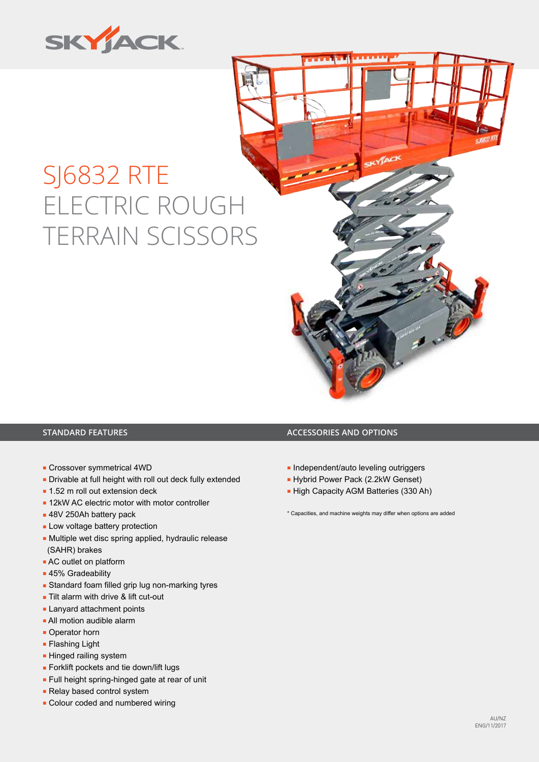

# SJ6832 RTE ELECTRIC ROUGH TERRAIN SCISSORS



- Crossover symmetrical 4WD
- Drivable at full height with roll out deck fully extended
- 1.52 m roll out extension deck
- 12kW AC electric motor with motor controller
- 48V 250Ah battery pack
- Low voltage battery protection
- Multiple wet disc spring applied, hydraulic release (SAHR) brakes
- AC outlet on platform
- 45% Gradeability
- Standard foam filled grip lug non-marking tyres
- Tilt alarm with drive & lift cut-out
- Lanyard attachment points
- All motion audible alarm
- Operator horn
- Flashing Light
- **Hinged railing system**
- Forklift pockets and tie down/lift lugs
- Full height spring-hinged gate at rear of unit
- Relay based control system
- Colour coded and numbered wiring

### **STANDARD FEATURES ACCESSORIES AND OPTIONS**

- Independent/auto leveling outriggers
- Hybrid Power Pack (2.2kW Genset)
- High Capacity AGM Batteries (330 Ah)

\* Capacities, and machine weights may differ when options are added